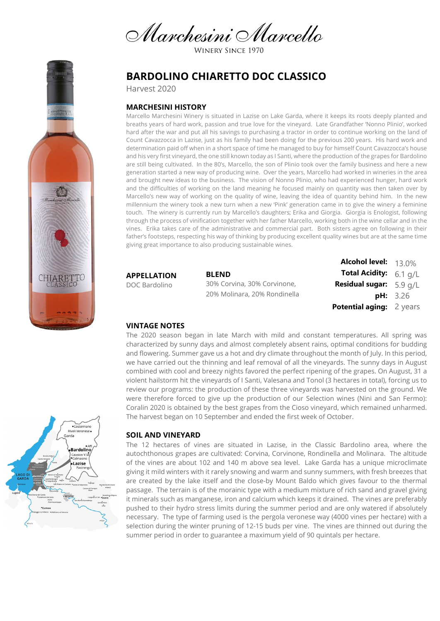Marchesini Marcello

WINERY SINCE 1970

# **BARDOLINO CHIARETTO DOC CLASSICO**

Harvest 2020

## **MARCHESINI HISTORY**

Marcello Marchesini Winery is situated in Lazise on Lake Garda, where it keeps its roots deeply planted and breaths years of hard work, passion and true love for the vineyard. Late Grandfather 'Nonno Plinio', worked hard after the war and put all his savings to purchasing a tractor in order to continue working on the land of Count Cavazzocca in Lazise, just as his family had been doing for the previous 200 years. His hard work and determination paid off when in a short space of time he managed to buy for himself Count Cavazzocca's house and his very first vineyard, the one still known today as I Santi, where the production of the grapes for Bardolino are still being cultivated. In the 80's, Marcello, the son of Plinio took over the family business and here a new generation started a new way of producing wine. Over the years, Marcello had worked in wineries in the area and brought new ideas to the business. The vision of Nonno Plinio, who had experienced hunger, hard work and the difficulties of working on the land meaning he focused mainly on quantity was then taken over by Marcello's new way of working on the quality of wine, leaving the idea of quantity behind him. In the new millennium the winery took a new turn when a new 'Pink' generation came in to give the winery a feminine touch. The winery is currently run by Marcello's daughters; Erika and Giorgia. Giorgia is Enologist, following through the process of vinification together with her father Marcello, working both in the wine cellar and in the vines. Erika takes care of the administrative and commercial part. Both sisters agree on following in their father's footsteps, respecting his way of thinking by producing excellent quality wines but are at the same time giving great importance to also producing sustainable wines.

**APPELLATION**

DOC Bardolino

**BLEND** 30% Corvina, 30% Corvinone, 20% Molinara, 20% Rondinella

**Alcohol level:** 13.0% **Total Acidity:** 6.1 g/L **Residual sugar:** 5.9 g/L **pH:** 3.26 **Potential aging:** 2 years

#### **VINTAGE NOTES**

The 2020 season began in late March with mild and constant temperatures. All spring was characterized by sunny days and almost completely absent rains, optimal conditions for budding and flowering. Summer gave us a hot and dry climate throughout the month of July. In this period, we have carried out the thinning and leaf removal of all the vineyards. The sunny days in August combined with cool and breezy nights favored the perfect ripening of the grapes. On August, 31 a violent hailstorm hit the vineyards of I Santi, Valesana and Tonol (3 hectares in total), forcing us to review our programs: the production of these three vineyards was harvested on the ground. We were therefore forced to give up the production of our Selection wines (Nini and San Fermo): Coralin 2020 is obtained by the best grapes from the Cioso vineyard, which remained unharmed. The harvest began on 10 September and ended the first week of October.

### **SOIL AND VINEYARD**

The 12 hectares of vines are situated in Lazise, in the Classic Bardolino area, where the autochthonous grapes are cultivated: Corvina, Corvinone, Rondinella and Molinara. The altitude of the vines are about 102 and 140 m above sea level. Lake Garda has a unique microclimate giving it mild winters with it rarely snowing and warm and sunny summers, with fresh breezes that are created by the lake itself and the close-by Mount Baldo which gives favour to the thermal passage. The terrain is of the morainic type with a medium mixture of rich sand and gravel giving it minerals such as manganese, iron and calcium which keeps it drained. The vines are preferably pushed to their hydro stress limits during the summer period and are only watered if absolutely necessary. The type of farming used is the pergola veronese way (4000 vines per hectare) with a selection during the winter pruning of 12-15 buds per vine. The vines are thinned out during the summer period in order to guarantee a maximum yield of 90 quintals per hectare.